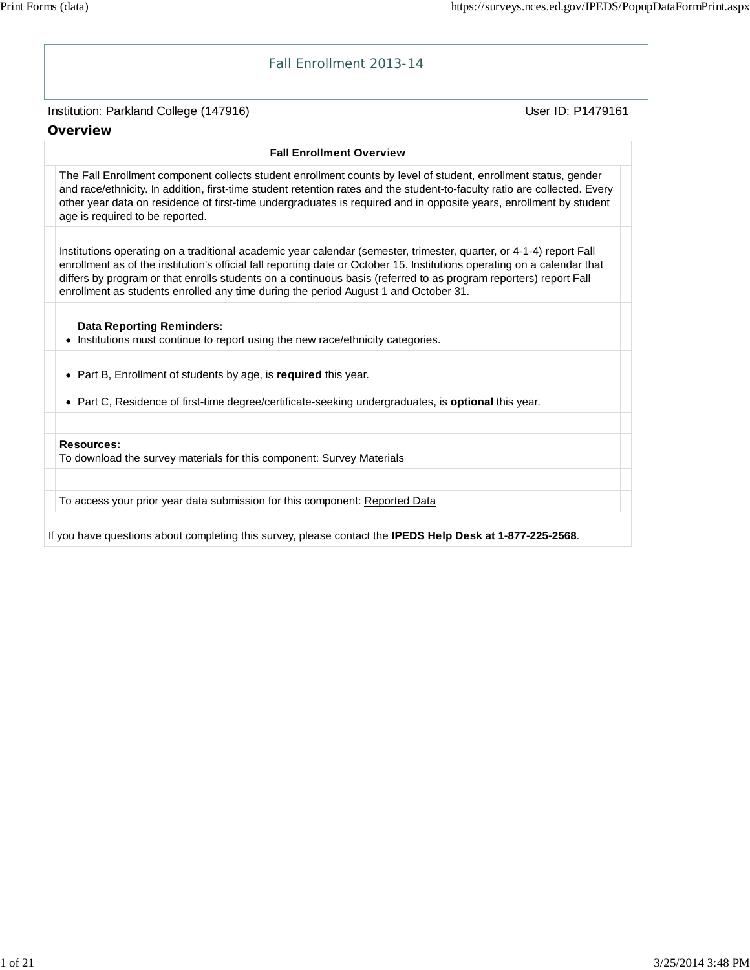# Institution: Parkland College (147916) November 2012 12: Physics User ID: P1479161 Fall Enrollment 2013-14 **Overview Fall Enrollment Overview** The Fall Enrollment component collects student enrollment counts by level of student, enrollment status, gender and race/ethnicity. In addition, first-time student retention rates and the student-to-faculty ratio are collected. Every other year data on residence of first-time undergraduates is required and in opposite years, enrollment by student age is required to be reported. Institutions operating on a traditional academic year calendar (semester, trimester, quarter, or 4-1-4) report Fall enrollment as of the institution's official fall reporting date or October 15. Institutions operating on a calendar that differs by program or that enrolls students on a continuous basis (referred to as program reporters) report Fall enrollment as students enrolled any time during the period August 1 and October 31. **Data Reporting Reminders:** • Institutions must continue to report using the new race/ethnicity categories. Part B, Enrollment of students by age, is **required** this year. Part C, Residence of first-time degree/certificate-seeking undergraduates, is **optional** this year. **Resources:** To download the survey materials for this component: Survey Materials To access your prior year data submission for this component: Reported Data

If you have questions about completing this survey, please contact the **IPEDS Help Desk at 1-877-225-2568**.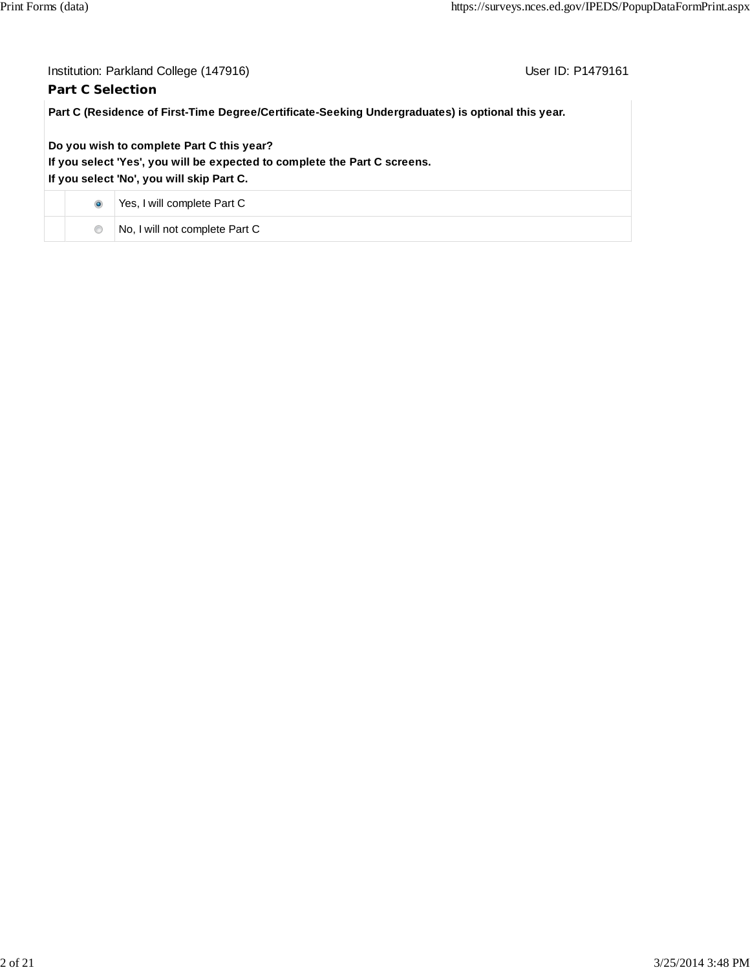| User ID: P1479161<br>Institution: Parkland College (147916)                                       |                                                                                                                                                                     |  |  |  |  |
|---------------------------------------------------------------------------------------------------|---------------------------------------------------------------------------------------------------------------------------------------------------------------------|--|--|--|--|
| <b>Part C Selection</b>                                                                           |                                                                                                                                                                     |  |  |  |  |
| Part C (Residence of First-Time Degree/Certificate-Seeking Undergraduates) is optional this year. |                                                                                                                                                                     |  |  |  |  |
|                                                                                                   | Do you wish to complete Part C this year?<br>If you select 'Yes', you will be expected to complete the Part C screens.<br>If you select 'No', you will skip Part C. |  |  |  |  |
| $\bullet$                                                                                         | Yes, I will complete Part C                                                                                                                                         |  |  |  |  |
| $\circledcirc$                                                                                    | No, I will not complete Part C                                                                                                                                      |  |  |  |  |
|                                                                                                   |                                                                                                                                                                     |  |  |  |  |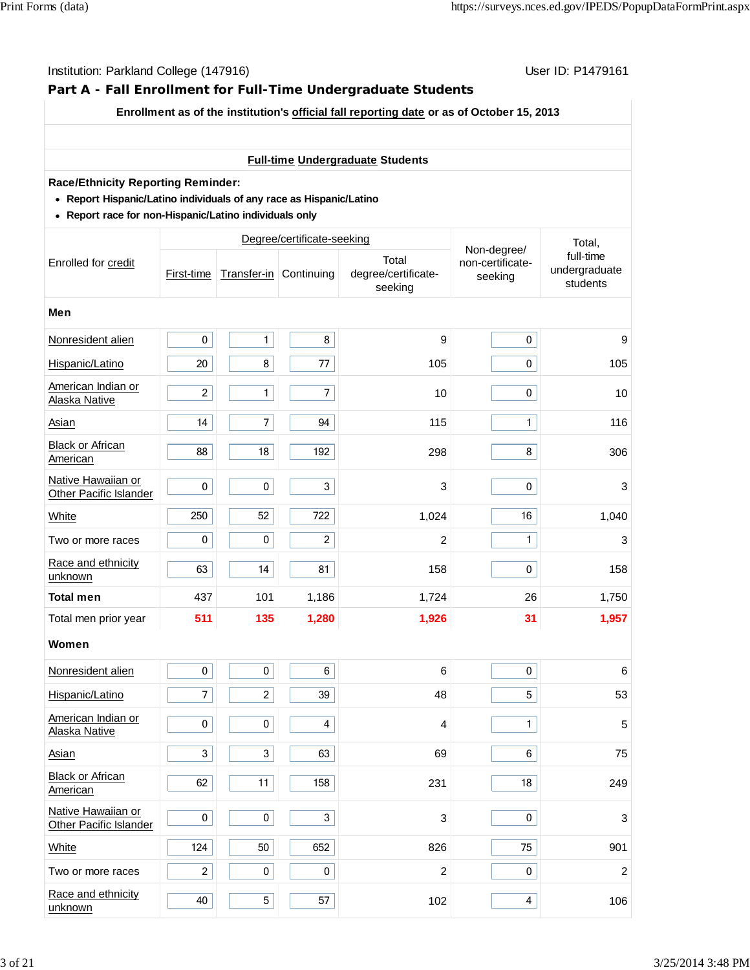## **Part A - Fall Enrollment for Full-Time Undergraduate Students**

#### **Enrollment as of the institution's official fall reporting date or as of October 15, 2013**

## **Full-time Undergraduate Students**

#### **Race/Ethnicity Reporting Reminder:**

- **Report Hispanic/Latino individuals of any race as Hispanic/Latino**
- **Report race for non-Hispanic/Latino individuals only**

|                                              |                |                | Degree/certificate-seeking |                                         |                                            | Total,<br>full-time<br>undergraduate<br>students |  |  |
|----------------------------------------------|----------------|----------------|----------------------------|-----------------------------------------|--------------------------------------------|--------------------------------------------------|--|--|
| Enrolled for credit                          | First-time     |                | Transfer-in Continuing     | Total<br>degree/certificate-<br>seeking | Non-degree/<br>non-certificate-<br>seeking |                                                  |  |  |
| Men                                          |                |                |                            |                                         |                                            |                                                  |  |  |
| Nonresident alien                            | $\pmb{0}$      | $\mathbf{1}$   | 8                          | 9                                       | $\mathbf 0$                                | 9                                                |  |  |
| Hispanic/Latino                              | 20             | 8              | 77                         | 105                                     | $\pmb{0}$                                  | 105                                              |  |  |
| American Indian or<br>Alaska Native          | $\overline{c}$ | $\mathbf{1}$   | $\overline{7}$             | 10                                      | $\pmb{0}$                                  | 10                                               |  |  |
| Asian                                        | 14             | $\overline{7}$ | 94                         | 115                                     | $\mathbf{1}$                               | 116                                              |  |  |
| Black or African<br>American                 | 88             | 18             | 192                        | 298                                     | 8                                          | 306                                              |  |  |
| Native Hawaiian or<br>Other Pacific Islander | $\pmb{0}$      | $\pmb{0}$      | 3                          | 3                                       | 0                                          | 3                                                |  |  |
| White                                        | 250            | 52             | 722                        | 1,024                                   | 16                                         | 1,040                                            |  |  |
| Two or more races                            | $\pmb{0}$      | $\pmb{0}$      | $\overline{2}$             | $\overline{\mathbf{c}}$                 | $\mathbf{1}$                               | 3                                                |  |  |
| Race and ethnicity<br>unknown                | 63             | 14             | 81                         | 158                                     | $\pmb{0}$                                  | 158                                              |  |  |
| <b>Total men</b>                             | 437            | 101            | 1,186                      | 1,724                                   | 26                                         | 1,750                                            |  |  |
| Total men prior year                         | 511            | 135            | 1,280                      | 1,926                                   | 31                                         | 1,957                                            |  |  |
| Women                                        |                |                |                            |                                         |                                            |                                                  |  |  |
| Nonresident alien                            | $\pmb{0}$      | $\pmb{0}$      | $\,6\,$                    | $6\phantom{1}6$                         | $\pmb{0}$                                  | 6                                                |  |  |
| Hispanic/Latino                              | $\overline{7}$ | $\overline{c}$ | 39                         | 48                                      | 5                                          | 53                                               |  |  |
| American Indian or<br>Alaska Native          | $\pmb{0}$      | $\pmb{0}$      | 4                          | 4                                       | $\mathbf{1}$                               | 5                                                |  |  |
| Asian                                        | 3              | 3              | 63                         | 69                                      | 6                                          | 75                                               |  |  |
| <b>Black or African</b><br>American          | 62             | 11             | 158                        | 231                                     | 18                                         | 249                                              |  |  |
| Native Hawaiian or<br>Other Pacific Islander | $\pmb{0}$      | $\pmb{0}$      | 3                          | 3                                       | $\mathbf 0$                                | 3                                                |  |  |
| White                                        | 124            | 50             | 652                        | 826                                     | 75                                         | 901                                              |  |  |
| Two or more races                            | $\overline{2}$ | 0              | 0                          | $\overline{c}$                          | $\pmb{0}$                                  | $\overline{c}$                                   |  |  |
| Race and ethnicity<br>unknown                | 40             | 5              | 57                         | 102                                     | $\overline{\mathbf{4}}$                    | 106                                              |  |  |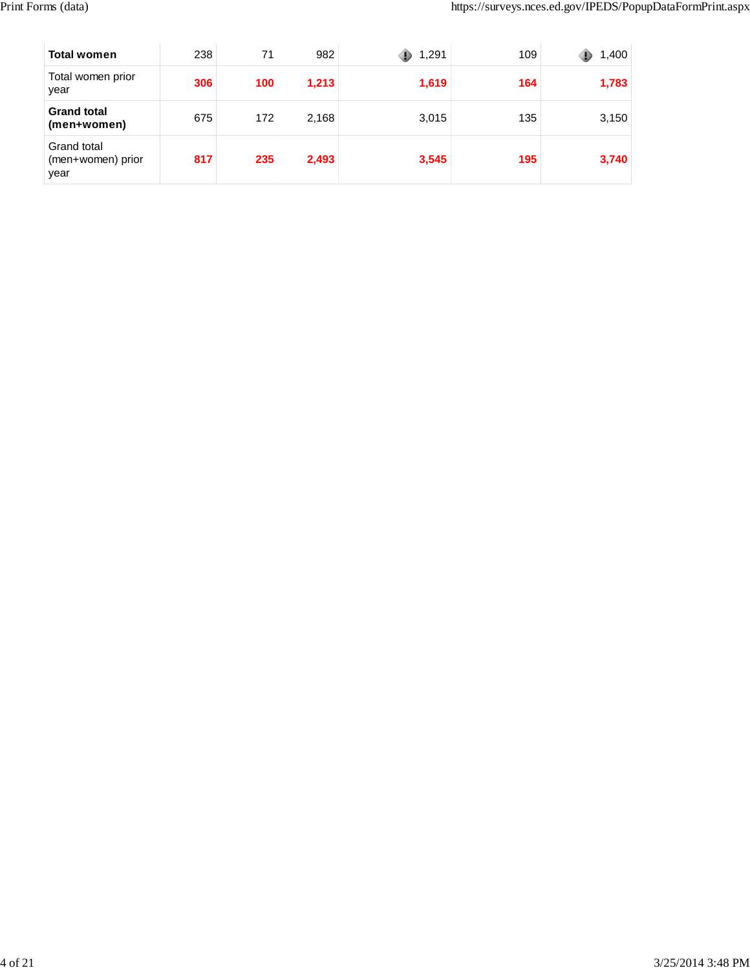| <b>Total women</b>                       | 238 | 71  | 982   | 1,291 | 109 | 1,400 |
|------------------------------------------|-----|-----|-------|-------|-----|-------|
| Total women prior<br>year                | 306 | 100 | 1,213 | 1,619 | 164 | 1,783 |
| <b>Grand total</b><br>(men+women)        | 675 | 172 | 2,168 | 3,015 | 135 | 3,150 |
| Grand total<br>(men+women) prior<br>year | 817 | 235 | 2,493 | 3,545 | 195 | 3,740 |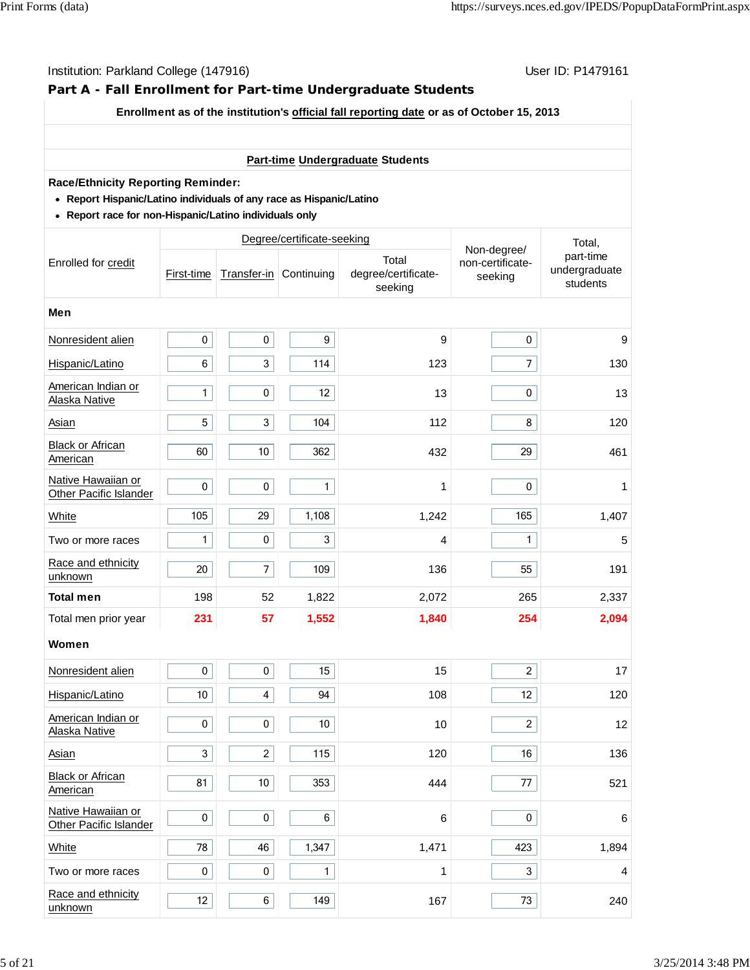## **Part A - Fall Enrollment for Part-time Undergraduate Students**

#### **Enrollment as of the institution's official fall reporting date or as of October 15, 2013**

## **Part-time Undergraduate Students**

#### **Race/Ethnicity Reporting Reminder:**

- **Report Hispanic/Latino individuals of any race as Hispanic/Latino**
- **Report race for non-Hispanic/Latino individuals only**

|                                              |              |                          | Degree/certificate-seeking |                                         | Total,                                     |                                        |  |  |
|----------------------------------------------|--------------|--------------------------|----------------------------|-----------------------------------------|--------------------------------------------|----------------------------------------|--|--|
| Enrolled for credit                          | First-time   | Transfer-in Continuing   |                            | Total<br>degree/certificate-<br>seeking | Non-degree/<br>non-certificate-<br>seeking | part-time<br>undergraduate<br>students |  |  |
| Men                                          |              |                          |                            |                                         |                                            |                                        |  |  |
| Nonresident alien                            | $\pmb{0}$    | $\pmb{0}$                | $\boldsymbol{9}$           | 9                                       | $\pmb{0}$                                  | 9                                      |  |  |
| Hispanic/Latino                              | 6            | 3                        | 114                        | 123                                     | $\overline{7}$                             | 130                                    |  |  |
| American Indian or<br>Alaska Native          | $\mathbf{1}$ | $\pmb{0}$                | 12                         | 13                                      | $\pmb{0}$                                  | 13                                     |  |  |
| Asian                                        | 5            | 3                        | 104                        | 112                                     | 8                                          | 120                                    |  |  |
| <b>Black or African</b><br>American          | 60           | 10                       | 362                        | 432                                     | 29                                         | 461                                    |  |  |
| Native Hawaiian or<br>Other Pacific Islander | $\pmb{0}$    | $\pmb{0}$                | $\mathbf{1}$               | 1                                       | 0                                          | 1                                      |  |  |
| <b>White</b>                                 | 105          | 29                       | 1,108                      | 1,242                                   | 165                                        | 1,407                                  |  |  |
| Two or more races                            | $\mathbf{1}$ | $\pmb{0}$                | 3                          | 4                                       | $\mathbf{1}$                               | 5                                      |  |  |
| Race and ethnicity<br>unknown                | 20           | $\overline{\mathcal{I}}$ | 109                        | 136                                     | 55                                         | 191                                    |  |  |
| <b>Total men</b>                             | 198          | 52                       | 1,822                      | 2,072                                   | 265                                        | 2,337                                  |  |  |
| Total men prior year                         | 231          | 57                       | 1,552                      | 1,840                                   | 254                                        | 2,094                                  |  |  |
| Women                                        |              |                          |                            |                                         |                                            |                                        |  |  |
| Nonresident alien                            | $\pmb{0}$    | $\pmb{0}$                | 15                         | 15                                      | $\overline{a}$                             | 17                                     |  |  |
| Hispanic/Latino                              | $10\,$       | $\overline{\mathbf{4}}$  | 94                         | 108                                     | 12                                         | 120                                    |  |  |
| American Indian or<br>Alaska Native          | $\pmb{0}$    | $\pmb{0}$                | 10 <sup>°</sup>            | 10                                      | $\overline{2}$                             | 12                                     |  |  |
| Asian                                        | $\mathbf{3}$ | $\overline{c}$           | 115                        | 120                                     | 16                                         | 136                                    |  |  |
| <b>Black or African</b><br>American          | 81           | 10                       | 353                        | 444                                     | 77                                         | 521                                    |  |  |
| Native Hawaiian or<br>Other Pacific Islander | $\pmb{0}$    | $\pmb{0}$                | 6                          | 6                                       | $\mathbf 0$                                | 6                                      |  |  |
| White                                        | 78           | 46                       | 1,347                      | 1,471                                   | 423                                        | 1,894                                  |  |  |
| Two or more races                            | $\pmb{0}$    | $\pmb{0}$                | $\mathbf{1}$               | 1                                       | $\mathbf{3}$                               | 4                                      |  |  |
| Race and ethnicity<br>unknown                | 12           | 6                        | 149                        | 167                                     | 73                                         | 240                                    |  |  |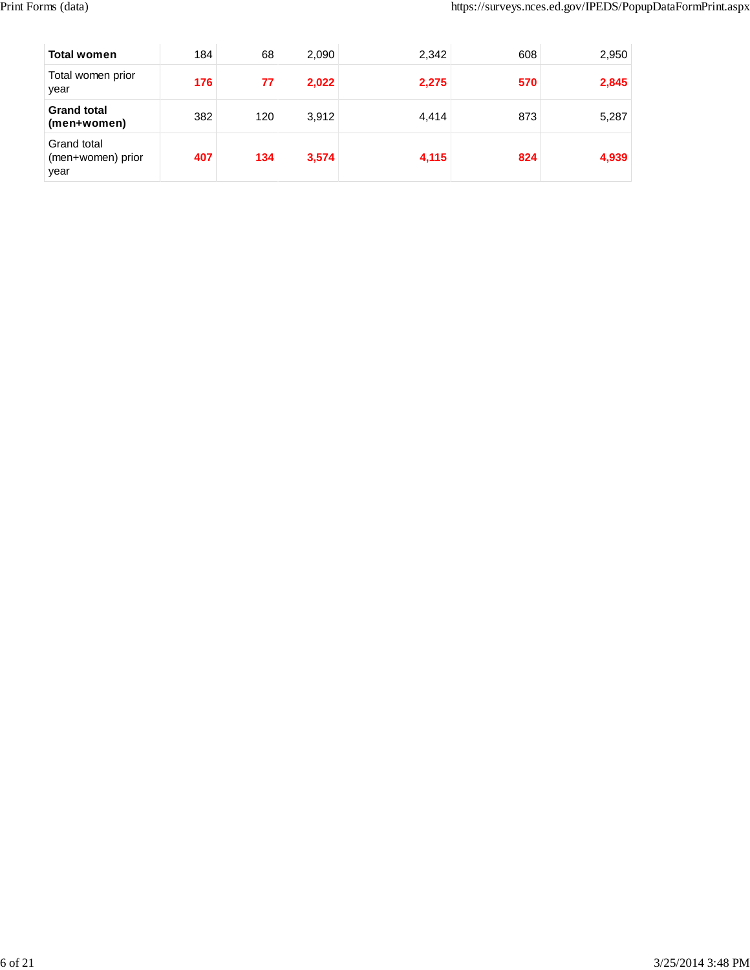| <b>Total women</b>                       | 184 | 68  | 2,090 | 2,342 | 608 | 2,950 |
|------------------------------------------|-----|-----|-------|-------|-----|-------|
| Total women prior<br>year                | 176 | 77  | 2,022 | 2,275 | 570 | 2,845 |
| <b>Grand total</b><br>(men+women)        | 382 | 120 | 3,912 | 4,414 | 873 | 5,287 |
| Grand total<br>(men+women) prior<br>year | 407 | 134 | 3,574 | 4,115 | 824 | 4,939 |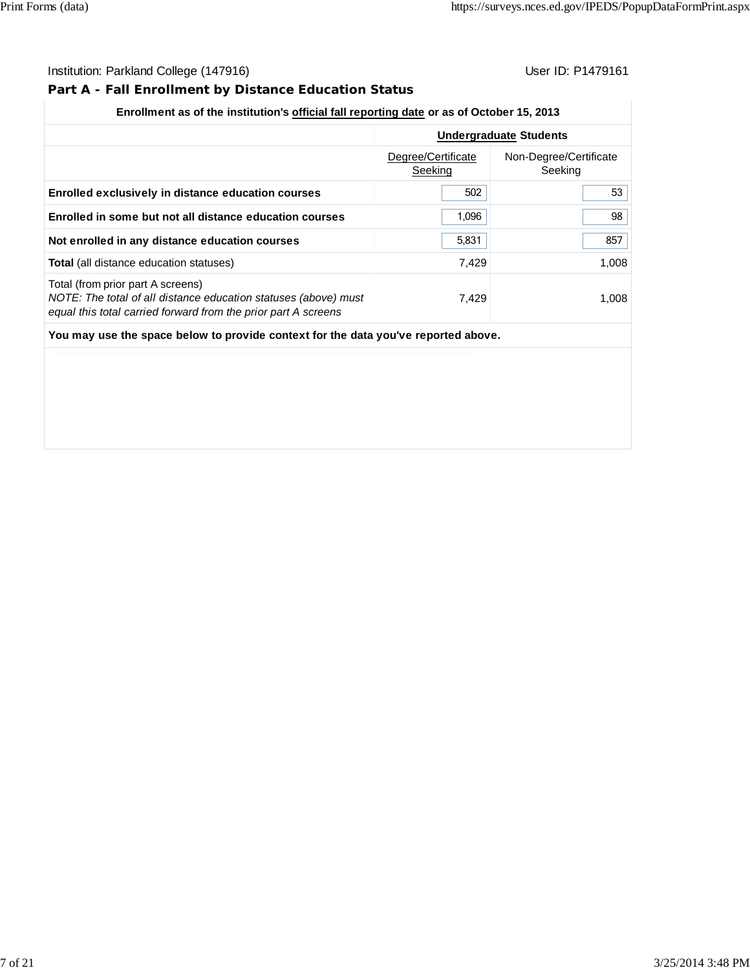## **Part A - Fall Enrollment by Distance Education Status**

## **Enrollment as of the institution's official fall reporting date or as of October 15, 2013**

|                                                                                                                                                                        | <b>Undergraduate Students</b> |                                   |  |
|------------------------------------------------------------------------------------------------------------------------------------------------------------------------|-------------------------------|-----------------------------------|--|
|                                                                                                                                                                        | Degree/Certificate<br>Seeking | Non-Degree/Certificate<br>Seeking |  |
| Enrolled exclusively in distance education courses                                                                                                                     | 502                           | 53                                |  |
| Enrolled in some but not all distance education courses                                                                                                                | 1,096                         | 98                                |  |
| Not enrolled in any distance education courses                                                                                                                         | 5,831                         | 857                               |  |
| <b>Total</b> (all distance education statuses)                                                                                                                         | 7,429                         | 1,008                             |  |
| Total (from prior part A screens)<br>NOTE: The total of all distance education statuses (above) must<br>equal this total carried forward from the prior part A screens | 7,429                         | 1,008                             |  |
| You may use the space below to provide context for the data you've reported above.                                                                                     |                               |                                   |  |
|                                                                                                                                                                        |                               |                                   |  |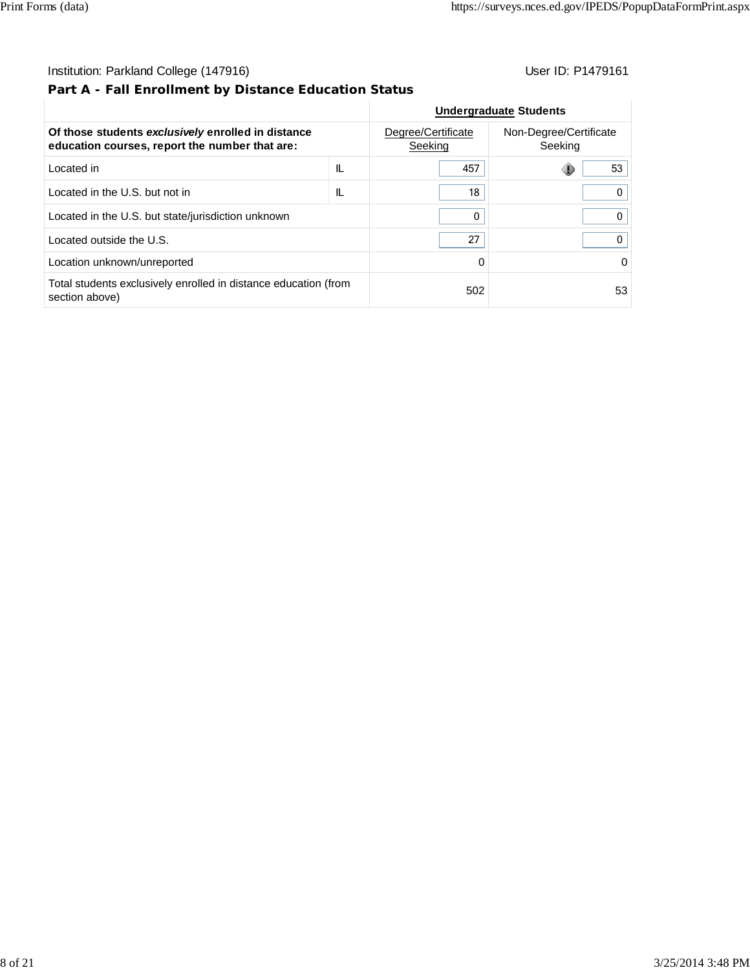## **Part A - Fall Enrollment by Distance Education Status**

| Of those students exclusively enrolled in distance<br>education courses, report the number that are: | Degree/Certificate<br>Seeking | Non-Degree/Certificate<br>Seeking |    |
|------------------------------------------------------------------------------------------------------|-------------------------------|-----------------------------------|----|
| Located in                                                                                           | IL                            | 457                               | 53 |
| Located in the U.S. but not in                                                                       | IL                            | 18                                |    |
| Located in the U.S. but state/jurisdiction unknown                                                   |                               | 0                                 | 0  |
| Located outside the U.S.                                                                             |                               | 27                                | 0  |
| Location unknown/unreported                                                                          |                               | 0                                 | 0  |
| Total students exclusively enrolled in distance education (from<br>section above)                    |                               | 502                               | 53 |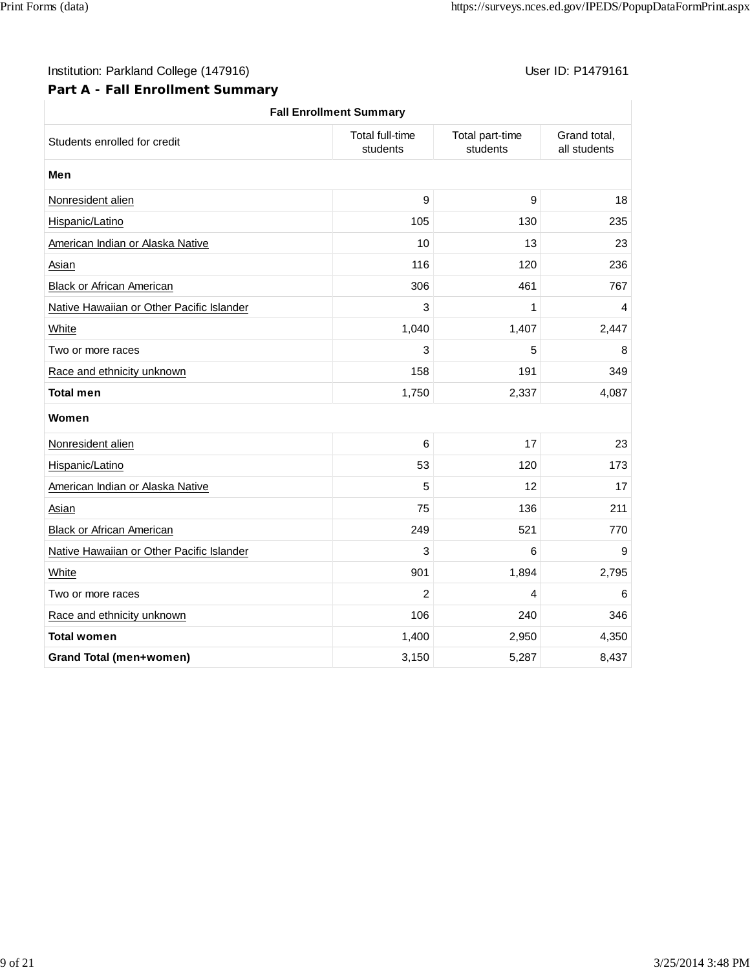## **Part A - Fall Enrollment Summary**

| <b>Fall Enrollment Summary</b>            |                                    |                             |                              |  |  |  |
|-------------------------------------------|------------------------------------|-----------------------------|------------------------------|--|--|--|
| Students enrolled for credit              | <b>Total full-time</b><br>students | Total part-time<br>students | Grand total,<br>all students |  |  |  |
| Men                                       |                                    |                             |                              |  |  |  |
| Nonresident alien                         | 9                                  | 9                           | 18                           |  |  |  |
| Hispanic/Latino                           | 105                                | 130                         | 235                          |  |  |  |
| American Indian or Alaska Native          | 10                                 | 13                          | 23                           |  |  |  |
| Asian                                     | 116                                | 120                         | 236                          |  |  |  |
| <b>Black or African American</b>          | 306                                | 461                         | 767                          |  |  |  |
| Native Hawaiian or Other Pacific Islander | 3                                  | 1                           | 4                            |  |  |  |
| White                                     | 1,040                              | 1,407                       | 2,447                        |  |  |  |
| Two or more races                         | 3                                  | 5                           | 8                            |  |  |  |
| Race and ethnicity unknown                | 158                                | 191                         | 349                          |  |  |  |
| <b>Total men</b>                          | 1,750                              | 2,337                       | 4,087                        |  |  |  |
| Women                                     |                                    |                             |                              |  |  |  |
| Nonresident alien                         | 6                                  | 17                          | 23                           |  |  |  |
| Hispanic/Latino                           | 53                                 | 120                         | 173                          |  |  |  |
| American Indian or Alaska Native          | 5                                  | 12                          | 17                           |  |  |  |
| Asian                                     | 75                                 | 136                         | 211                          |  |  |  |
| <b>Black or African American</b>          | 249                                | 521                         | 770                          |  |  |  |
| Native Hawaiian or Other Pacific Islander | 3                                  | 6                           | 9                            |  |  |  |
| White                                     | 901                                | 1,894                       | 2,795                        |  |  |  |
| Two or more races                         | $\overline{c}$                     | 4                           | 6                            |  |  |  |
| Race and ethnicity unknown                | 106                                | 240                         | 346                          |  |  |  |
| <b>Total women</b>                        | 1,400                              | 2,950                       | 4,350                        |  |  |  |
| <b>Grand Total (men+women)</b>            | 3,150                              | 5,287                       | 8,437                        |  |  |  |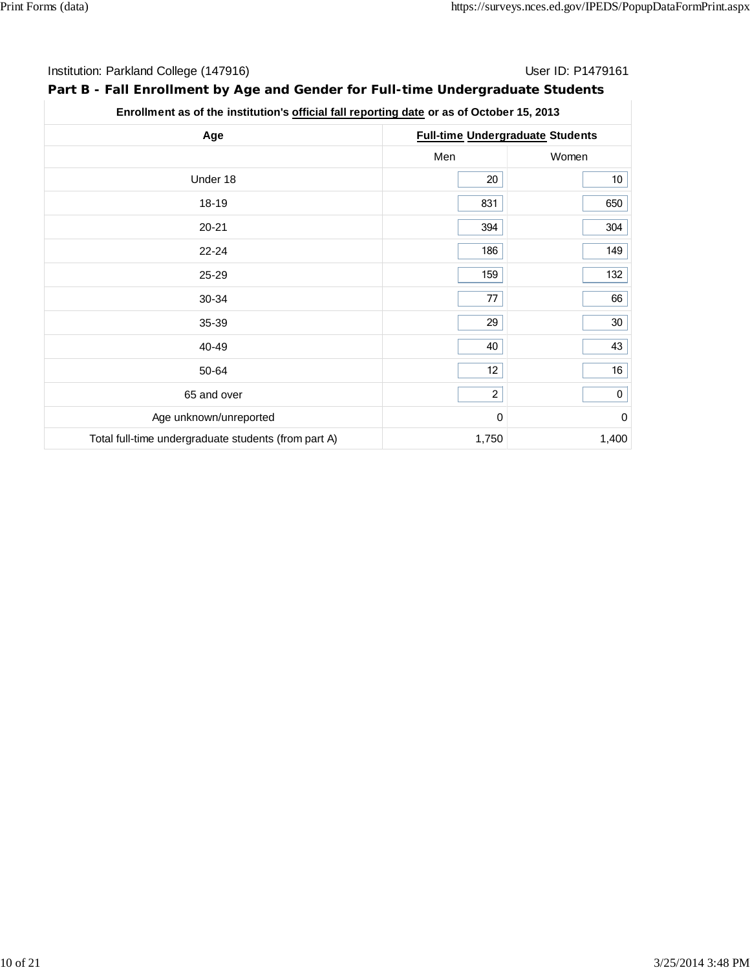## **Part B - Fall Enrollment by Age and Gender for Full-time Undergraduate Students**

## **Enrollment as of the institution's official fall reporting date or as of October 15, 2013**

| Age                                                  |                | <b>Full-time Undergraduate Students</b> |
|------------------------------------------------------|----------------|-----------------------------------------|
|                                                      | Men            | Women                                   |
| Under 18                                             | 20             | 10 <sub>1</sub>                         |
| 18-19                                                | 831            | 650                                     |
| $20 - 21$                                            | 394            | 304                                     |
| $22 - 24$                                            | 186            | 149                                     |
| 25-29                                                | 159            | 132                                     |
| 30-34                                                | 77             | 66                                      |
| 35-39                                                | 29             | 30 <sup>°</sup>                         |
| 40-49                                                | 40             | 43                                      |
| 50-64                                                | 12             | 16                                      |
| 65 and over                                          | $\overline{a}$ | $\mathbf 0$                             |
| Age unknown/unreported                               | 0              | $\pmb{0}$                               |
| Total full-time undergraduate students (from part A) | 1,750          | 1,400                                   |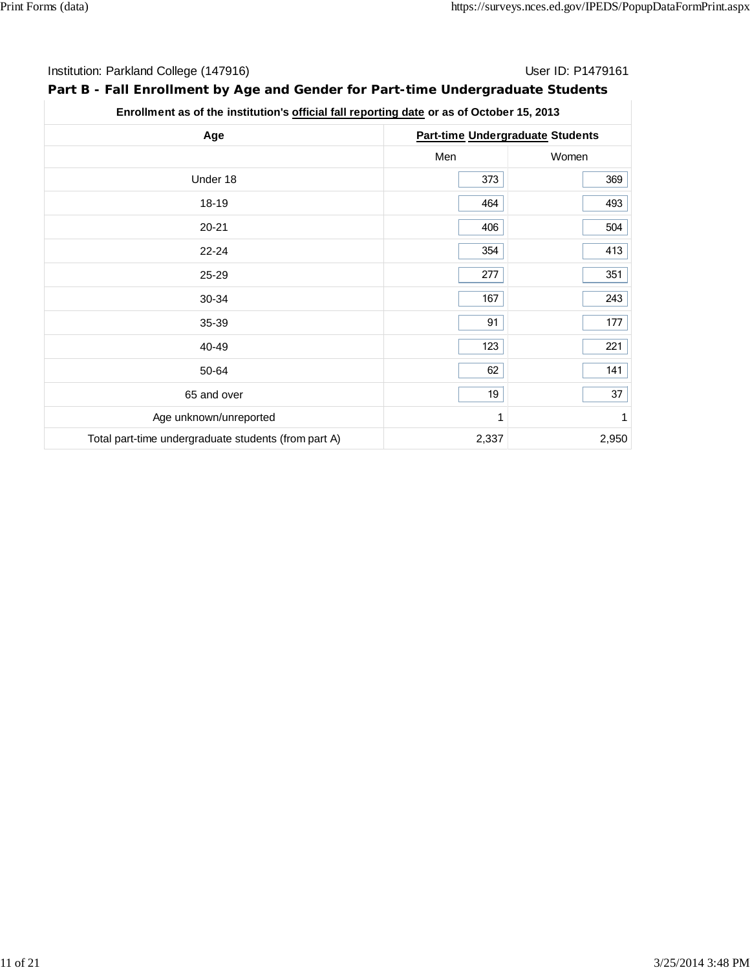## **Part B - Fall Enrollment by Age and Gender for Part-time Undergraduate Students**

**Enrollment as of the institution's official fall reporting date or as of October 15, 2013**

| Age                                                  | <b>Part-time Undergraduate Students</b> |       |  |  |
|------------------------------------------------------|-----------------------------------------|-------|--|--|
|                                                      | Men                                     | Women |  |  |
| Under 18                                             | 373                                     | 369   |  |  |
| 18-19                                                | 464                                     | 493   |  |  |
| $20 - 21$                                            | 406                                     | 504   |  |  |
| $22 - 24$                                            | 354                                     | 413   |  |  |
| 25-29                                                | 277                                     | 351   |  |  |
| 30-34                                                | 167                                     | 243   |  |  |
| 35-39                                                | 91                                      | 177   |  |  |
| 40-49                                                | 123                                     | 221   |  |  |
| 50-64                                                | 62                                      | 141   |  |  |
| 65 and over                                          | 19                                      | 37    |  |  |
| Age unknown/unreported                               | 1                                       | 1     |  |  |
| Total part-time undergraduate students (from part A) | 2,337                                   | 2,950 |  |  |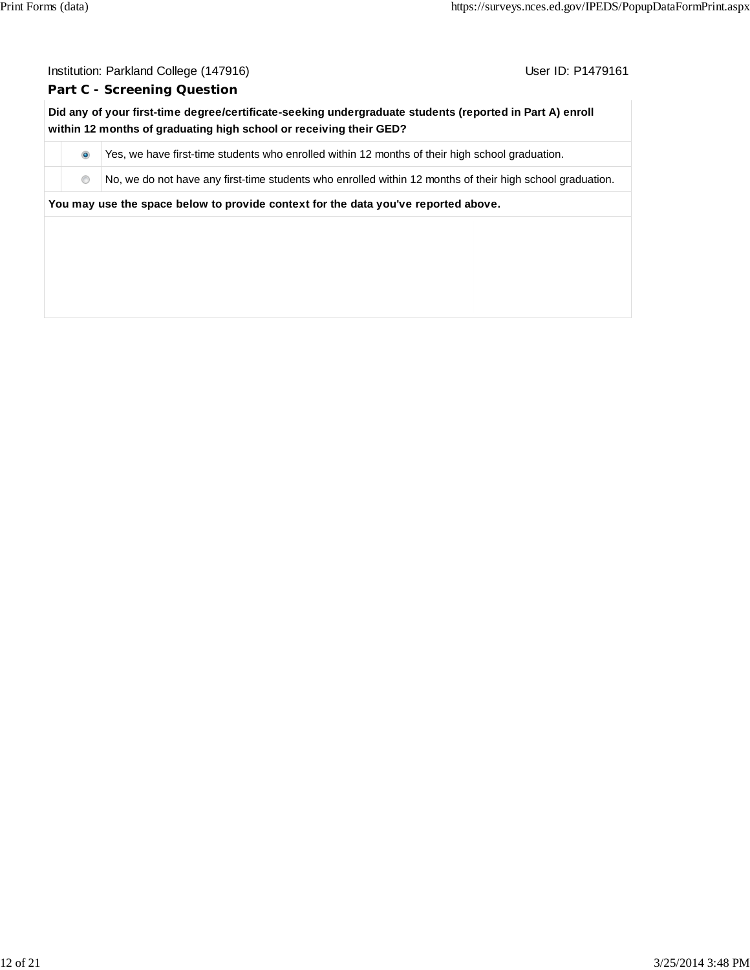#### **Part C - Screening Question**

**Did any of your first-time degree/certificate-seeking undergraduate students (reported in Part A) enroll within 12 months of graduating high school or receiving their GED?**

 $\bullet$  Yes, we have first-time students who enrolled within 12 months of their high school graduation.

 $\bullet$  No, we do not have any first-time students who enrolled within 12 months of their high school graduation.

**You may use the space below to provide context for the data you've reported above.**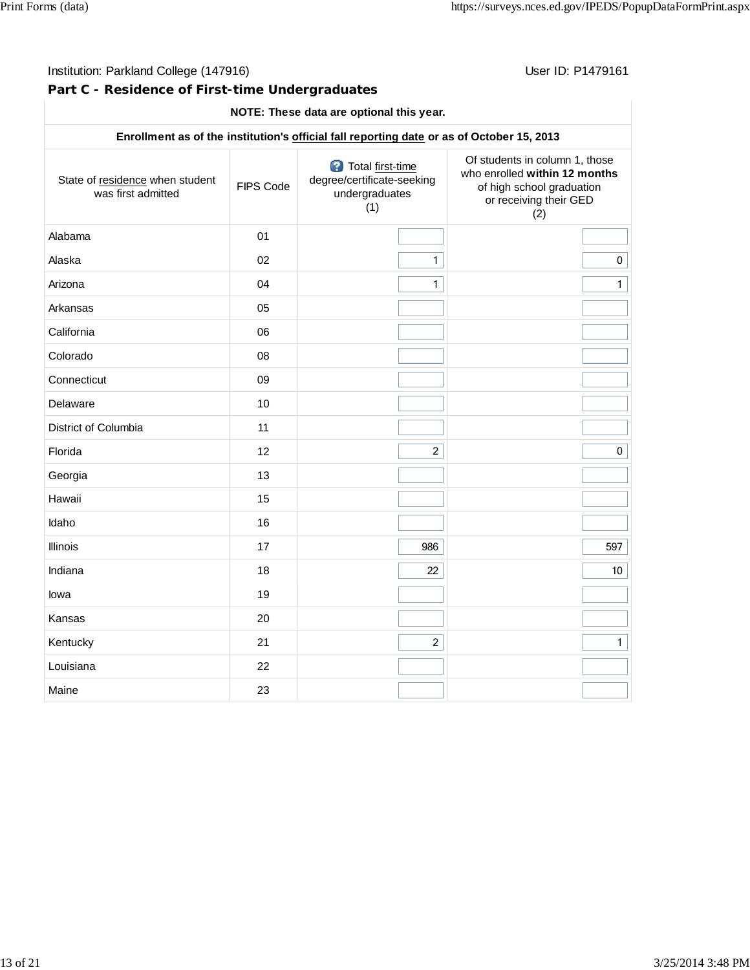## **Part C - Residence of First-time Undergraduates**

#### **NOTE: These data are optional this year.**

| Enrollment as of the institution's official fall reporting date or as of October 15, 2013 |           |                                                                         |                                                                                                                               |  |  |  |
|-------------------------------------------------------------------------------------------|-----------|-------------------------------------------------------------------------|-------------------------------------------------------------------------------------------------------------------------------|--|--|--|
| State of residence when student<br>was first admitted                                     | FIPS Code | Total first-time<br>degree/certificate-seeking<br>undergraduates<br>(1) | Of students in column 1, those<br>who enrolled within 12 months<br>of high school graduation<br>or receiving their GED<br>(2) |  |  |  |
| Alabama                                                                                   | 01        |                                                                         |                                                                                                                               |  |  |  |
| Alaska                                                                                    | 02        | $\mathbf{1}$                                                            | $\mathbf 0$                                                                                                                   |  |  |  |
| Arizona                                                                                   | 04        | $\mathbf{1}$                                                            | $\mathbf{1}$                                                                                                                  |  |  |  |
| Arkansas                                                                                  | 05        |                                                                         |                                                                                                                               |  |  |  |
| California                                                                                | 06        |                                                                         |                                                                                                                               |  |  |  |
| Colorado                                                                                  | 08        |                                                                         |                                                                                                                               |  |  |  |
| Connecticut                                                                               | 09        |                                                                         |                                                                                                                               |  |  |  |
| Delaware                                                                                  | 10        |                                                                         |                                                                                                                               |  |  |  |
| District of Columbia                                                                      | 11        |                                                                         |                                                                                                                               |  |  |  |
| Florida                                                                                   | 12        | $\overline{2}$                                                          | $\mathbf 0$                                                                                                                   |  |  |  |
| Georgia                                                                                   | 13        |                                                                         |                                                                                                                               |  |  |  |
| Hawaii                                                                                    | 15        |                                                                         |                                                                                                                               |  |  |  |
| Idaho                                                                                     | 16        |                                                                         |                                                                                                                               |  |  |  |
| Illinois                                                                                  | 17        | 986                                                                     | 597                                                                                                                           |  |  |  |
| Indiana                                                                                   | 18        | 22                                                                      | 10                                                                                                                            |  |  |  |
| lowa                                                                                      | 19        |                                                                         |                                                                                                                               |  |  |  |
| Kansas                                                                                    | 20        |                                                                         |                                                                                                                               |  |  |  |
| Kentucky                                                                                  | 21        | $\overline{2}$                                                          | $\mathbf{1}$                                                                                                                  |  |  |  |
| Louisiana                                                                                 | 22        |                                                                         |                                                                                                                               |  |  |  |
| Maine                                                                                     | 23        |                                                                         |                                                                                                                               |  |  |  |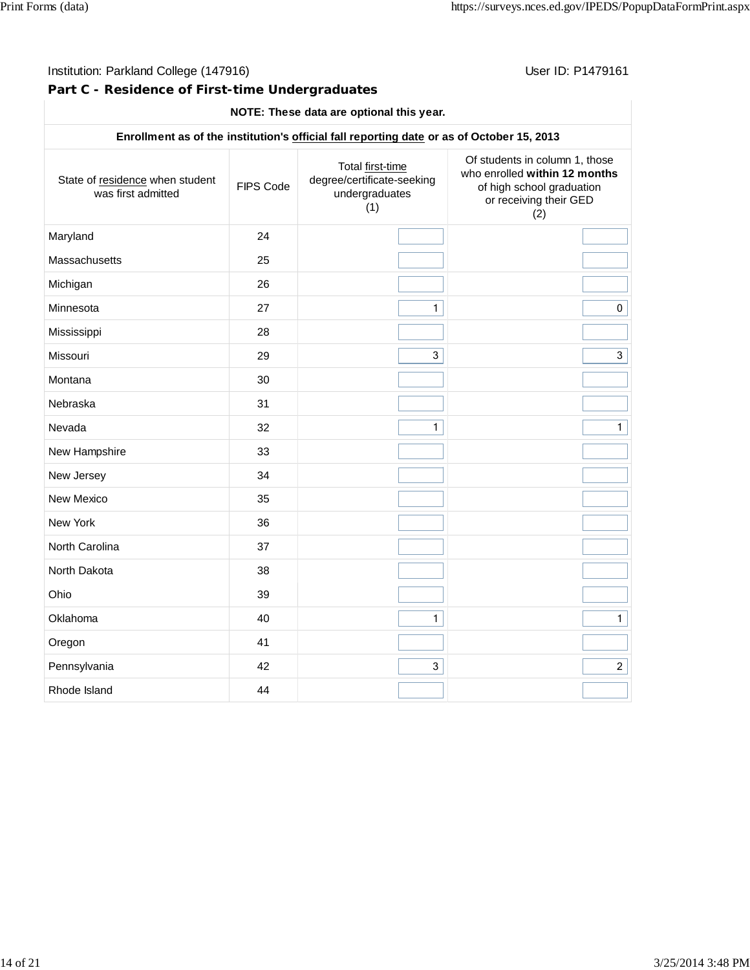**Part C - Residence of First-time Undergraduates**

#### **NOTE: These data are optional this year.**

## **Enrollment as of the institution's official fall reporting date or as of October 15, 2013** State of residence when student was first admitted **FIPS** Code Total first-time degree/certificate-seeking undergraduates (1) Of students in column 1, those who enrolled **within 12 months** of high school graduation or receiving their GED (2) Maryland 24 Massachusetts 25 Michigan 26 Minnesota  $27$  27 1 1 0 0 Mississippi 28 Missouri 29 3 3 Montana 30 Nebraska 31 Nevada 32 1 1 New Hampshire 33 New Jersey 24 New Mexico 35 New York 36 North Carolina 37 North Dakota 38 Ohio 39 Oklahoma 40 1 1 Oregon 41 Pennsylvania 1988 (1992) 1992 (1993) 1993 (1994) 1993 (1994) 1994 (1994) 1994 (1995) 1994 (1996) 1994 (1996) 1 Rhode Island 44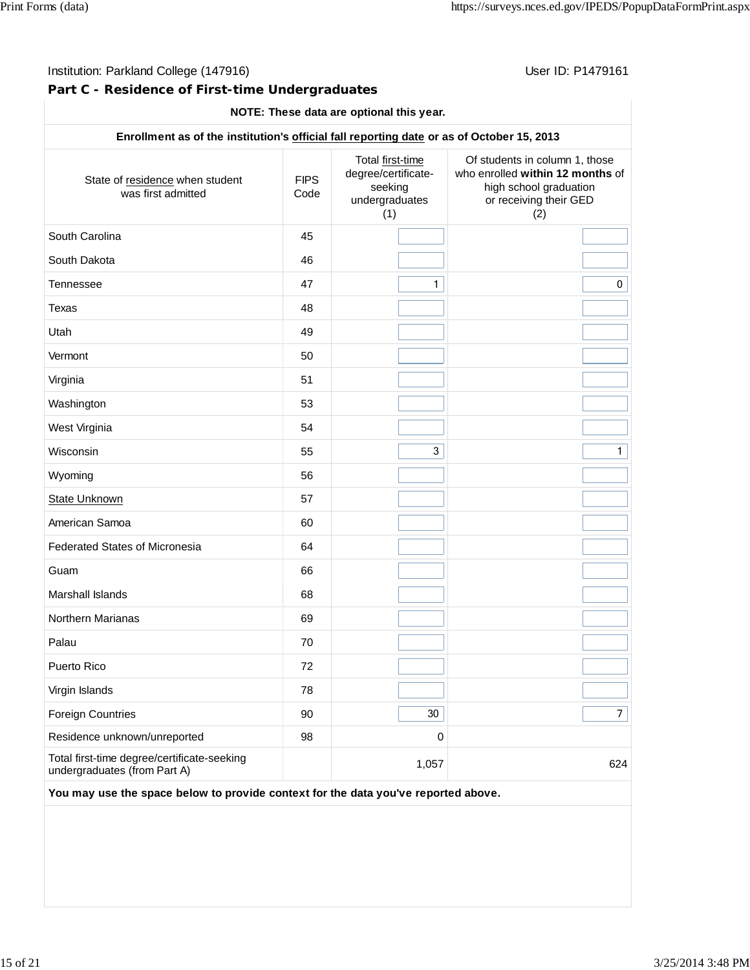**Part C - Residence of First-time Undergraduates**

#### **NOTE: These data are optional this year.**

| Enrollment as of the institution's official fall reporting date or as of October 15, 2013 |                     |                                                                             |                                                                                                                               |  |  |
|-------------------------------------------------------------------------------------------|---------------------|-----------------------------------------------------------------------------|-------------------------------------------------------------------------------------------------------------------------------|--|--|
| State of residence when student<br>was first admitted                                     | <b>FIPS</b><br>Code | Total first-time<br>degree/certificate-<br>seeking<br>undergraduates<br>(1) | Of students in column 1, those<br>who enrolled within 12 months of<br>high school graduation<br>or receiving their GED<br>(2) |  |  |
| South Carolina                                                                            | 45                  |                                                                             |                                                                                                                               |  |  |
| South Dakota                                                                              | 46                  |                                                                             |                                                                                                                               |  |  |
| Tennessee                                                                                 | 47                  | 1                                                                           | 0                                                                                                                             |  |  |
| <b>Texas</b>                                                                              | 48                  |                                                                             |                                                                                                                               |  |  |
| Utah                                                                                      | 49                  |                                                                             |                                                                                                                               |  |  |
| Vermont                                                                                   | 50                  |                                                                             |                                                                                                                               |  |  |
| Virginia                                                                                  | 51                  |                                                                             |                                                                                                                               |  |  |
| Washington                                                                                | 53                  |                                                                             |                                                                                                                               |  |  |
| West Virginia                                                                             | 54                  |                                                                             |                                                                                                                               |  |  |
| Wisconsin                                                                                 | 55                  | 3                                                                           | $\mathbf{1}$                                                                                                                  |  |  |
| Wyoming                                                                                   | 56                  |                                                                             |                                                                                                                               |  |  |
| State Unknown                                                                             | 57                  |                                                                             |                                                                                                                               |  |  |
| American Samoa                                                                            | 60                  |                                                                             |                                                                                                                               |  |  |
| <b>Federated States of Micronesia</b>                                                     | 64                  |                                                                             |                                                                                                                               |  |  |
| Guam                                                                                      | 66                  |                                                                             |                                                                                                                               |  |  |
| Marshall Islands                                                                          | 68                  |                                                                             |                                                                                                                               |  |  |
| Northern Marianas                                                                         | 69                  |                                                                             |                                                                                                                               |  |  |
| Palau                                                                                     | 70                  |                                                                             |                                                                                                                               |  |  |
| <b>Puerto Rico</b>                                                                        | 72                  |                                                                             |                                                                                                                               |  |  |
| Virgin Islands                                                                            | 78                  |                                                                             |                                                                                                                               |  |  |
| <b>Foreign Countries</b>                                                                  | 90                  | 30                                                                          | $\overline{7}$                                                                                                                |  |  |
| Residence unknown/unreported                                                              | 98                  | 0                                                                           |                                                                                                                               |  |  |
| Total first-time degree/certificate-seeking<br>undergraduates (from Part A)               |                     | 1,057                                                                       | 624                                                                                                                           |  |  |
| You may use the space below to provide context for the data you've reported above.        |                     |                                                                             |                                                                                                                               |  |  |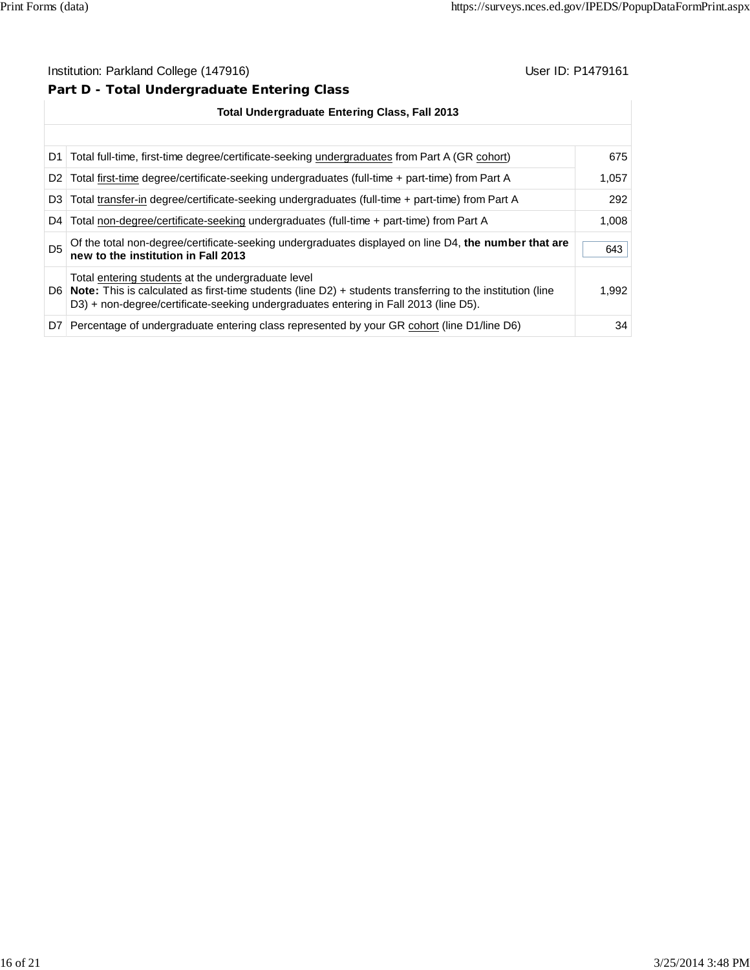## **Part D - Total Undergraduate Entering Class**

| <b>Total Undergraduate Entering Class, Fall 2013</b> |                                                                                                                                                                                                                                                                  |       |  |  |
|------------------------------------------------------|------------------------------------------------------------------------------------------------------------------------------------------------------------------------------------------------------------------------------------------------------------------|-------|--|--|
|                                                      |                                                                                                                                                                                                                                                                  |       |  |  |
| D1.                                                  | Total full-time, first-time degree/certificate-seeking undergraduates from Part A (GR cohort)                                                                                                                                                                    | 675   |  |  |
| D <sub>2</sub>                                       | Total first-time degree/certificate-seeking undergraduates (full-time + part-time) from Part A                                                                                                                                                                   | 1.057 |  |  |
| D <sub>3</sub>                                       | Total transfer-in degree/certificate-seeking undergraduates (full-time + part-time) from Part A                                                                                                                                                                  | 292   |  |  |
| D4                                                   | Total non-degree/certificate-seeking undergraduates (full-time + part-time) from Part A                                                                                                                                                                          | 1,008 |  |  |
| D <sub>5</sub>                                       | Of the total non-degree/certificate-seeking undergraduates displayed on line D4, the number that are<br>new to the institution in Fall 2013                                                                                                                      | 643   |  |  |
|                                                      | Total entering students at the undergraduate level<br>D6   Note: This is calculated as first-time students (line $D2$ ) + students transferring to the institution (line<br>D3) + non-degree/certificate-seeking undergraduates entering in Fall 2013 (line D5). | 1.992 |  |  |
|                                                      | D7 Percentage of undergraduate entering class represented by your GR cohort (line D1/line D6)                                                                                                                                                                    | 34    |  |  |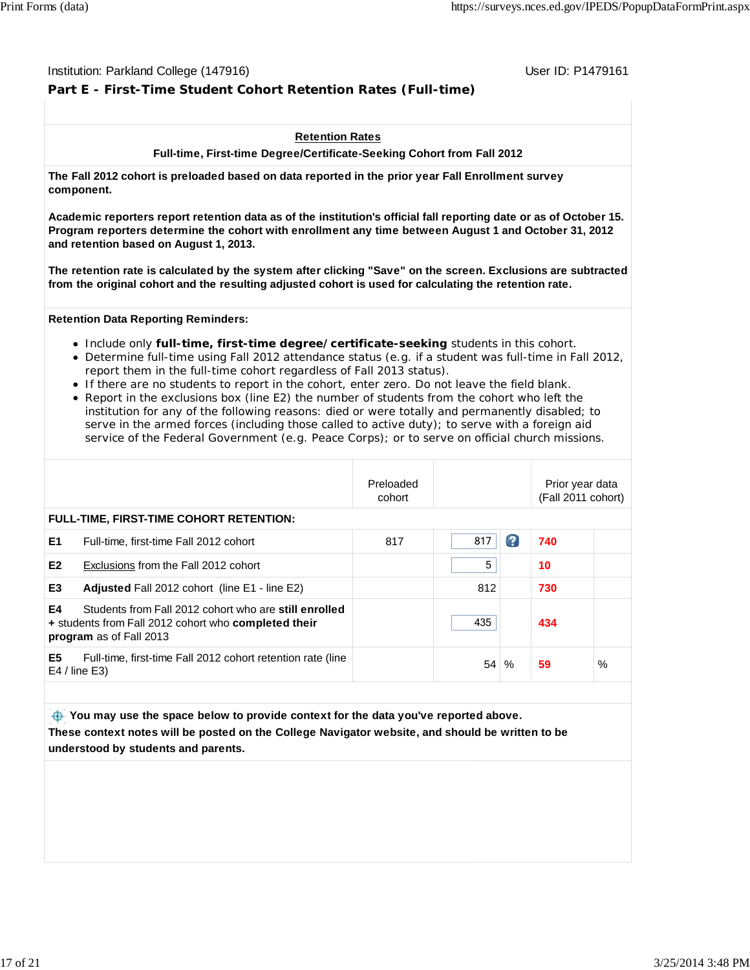#### Institution: Parkland College (147916) November 2012 12: Physics User ID: P1479161

## **Part E - First-Time Student Cohort Retention Rates (Full-time)**

#### **Retention Rates**

**Full-time, First-time Degree/Certificate-Seeking Cohort from Fall 2012**

**The Fall 2012 cohort is preloaded based on data reported in the prior year Fall Enrollment survey component.**

**Academic reporters report retention data as of the institution's official fall reporting date or as of October 15. Program reporters determine the cohort with enrollment any time between August 1 and October 31, 2012 and retention based on August 1, 2013.**

**The retention rate is calculated by the system after clicking "Save" on the screen. Exclusions are subtracted from the original cohort and the resulting adjusted cohort is used for calculating the retention rate.**

#### **Retention Data Reporting Reminders:**

- Include only **full-time, first-time degree/certificate-seeking** students in this cohort.
- Determine full-time using Fall 2012 attendance status (e.g. if a student was full-time in Fall 2012, report them in the full-time cohort regardless of Fall 2013 status).
- If there are no students to report in the cohort, enter zero. Do not leave the field blank.
- Report in the exclusions box (line E2) the number of students from the cohort who left the institution for any of the following reasons: died or were totally and permanently disabled; to serve in the armed forces (including those called to active duty); to serve with a foreign aid service of the Federal Government (e.g. Peace Corps); or to serve on official church missions.

|                                                                                                                                                | Preloaded<br>cohort |     |   | Prior year data<br>(Fall 2011 cohort) |      |
|------------------------------------------------------------------------------------------------------------------------------------------------|---------------------|-----|---|---------------------------------------|------|
| <b>FULL-TIME, FIRST-TIME COHORT RETENTION:</b>                                                                                                 |                     |     |   |                                       |      |
| E <sub>1</sub><br>Full-time, first-time Fall 2012 cohort                                                                                       | 817                 | 817 | Ø | 740                                   |      |
| E <sub>2</sub><br>Exclusions from the Fall 2012 cohort                                                                                         |                     | 5   |   | 10                                    |      |
| E <sub>3</sub><br><b>Adjusted Fall 2012 cohort (line E1 - line E2)</b>                                                                         |                     | 812 |   | 730                                   |      |
| E4<br>Students from Fall 2012 cohort who are still enrolled<br>+ students from Fall 2012 cohort who completed their<br>program as of Fall 2013 |                     | 435 |   | 434                                   |      |
| E5<br>Full-time, first-time Fall 2012 cohort retention rate (line<br>$E4$ / line $E3$ )                                                        |                     | 54  | % | 59                                    | $\%$ |

 **You may use the space below to provide context for the data you've reported above. These context notes will be posted on the College Navigator website, and should be written to be understood by students and parents.**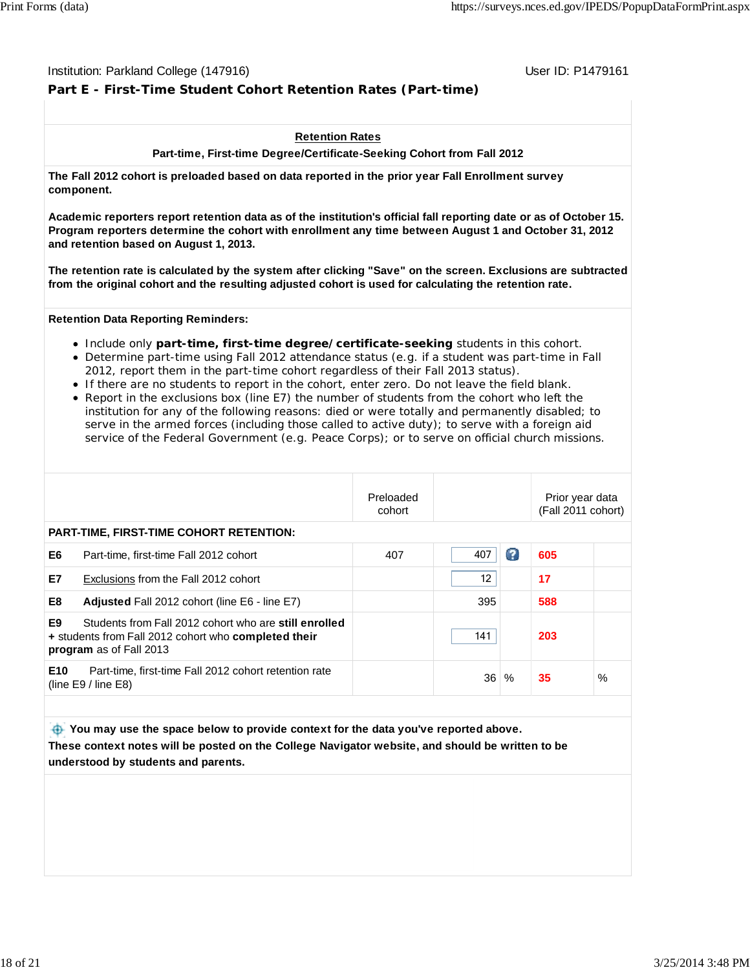#### Institution: Parkland College (147916) November 2012 12: Physics User ID: P1479161

## **Part E - First-Time Student Cohort Retention Rates (Part-time)**

#### **Retention Rates**

**Part-time, First-time Degree/Certificate-Seeking Cohort from Fall 2012**

**The Fall 2012 cohort is preloaded based on data reported in the prior year Fall Enrollment survey component.**

**Academic reporters report retention data as of the institution's official fall reporting date or as of October 15. Program reporters determine the cohort with enrollment any time between August 1 and October 31, 2012 and retention based on August 1, 2013.**

**The retention rate is calculated by the system after clicking "Save" on the screen. Exclusions are subtracted from the original cohort and the resulting adjusted cohort is used for calculating the retention rate.**

#### **Retention Data Reporting Reminders:**

- Include only **part-time, first-time degree/certificate-seeking** students in this cohort.
- Determine part-time using Fall 2012 attendance status (e.g. if a student was part-time in Fall 2012, report them in the part-time cohort regardless of their Fall 2013 status).
- If there are no students to report in the cohort, enter zero. Do not leave the field blank.
- Report in the exclusions box (line E7) the number of students from the cohort who left the institution for any of the following reasons: died or were totally and permanently disabled; to serve in the armed forces (including those called to active duty); to serve with a foreign aid service of the Federal Government (e.g. Peace Corps); or to serve on official church missions.

|           |                                                                                                                                                 | Preloaded<br>cohort |     |      | Prior year data<br>(Fall 2011 cohort) |      |
|-----------|-------------------------------------------------------------------------------------------------------------------------------------------------|---------------------|-----|------|---------------------------------------|------|
|           | <b>PART-TIME, FIRST-TIME COHORT RETENTION:</b>                                                                                                  |                     |     |      |                                       |      |
| E6        | Part-time, first-time Fall 2012 cohort                                                                                                          | 407                 | 407 | Ø    | 605                                   |      |
| <b>E7</b> | Exclusions from the Fall 2012 cohort                                                                                                            |                     | 12  |      | 17                                    |      |
| E8        | <b>Adjusted Fall 2012 cohort (line E6 - line E7)</b>                                                                                            |                     | 395 |      | 588                                   |      |
| E9        | Students from Fall 2012 cohort who are still enrolled<br>+ students from Fall 2012 cohort who completed their<br><b>program</b> as of Fall 2013 |                     | 141 |      | 203                                   |      |
| E10       | Part-time, first-time Fall 2012 cohort retention rate<br>(line $E9/$ line $E8$ )                                                                |                     | 36  | $\%$ | 35                                    | $\%$ |

 **You may use the space below to provide context for the data you've reported above. These context notes will be posted on the College Navigator website, and should be written to be understood by students and parents.**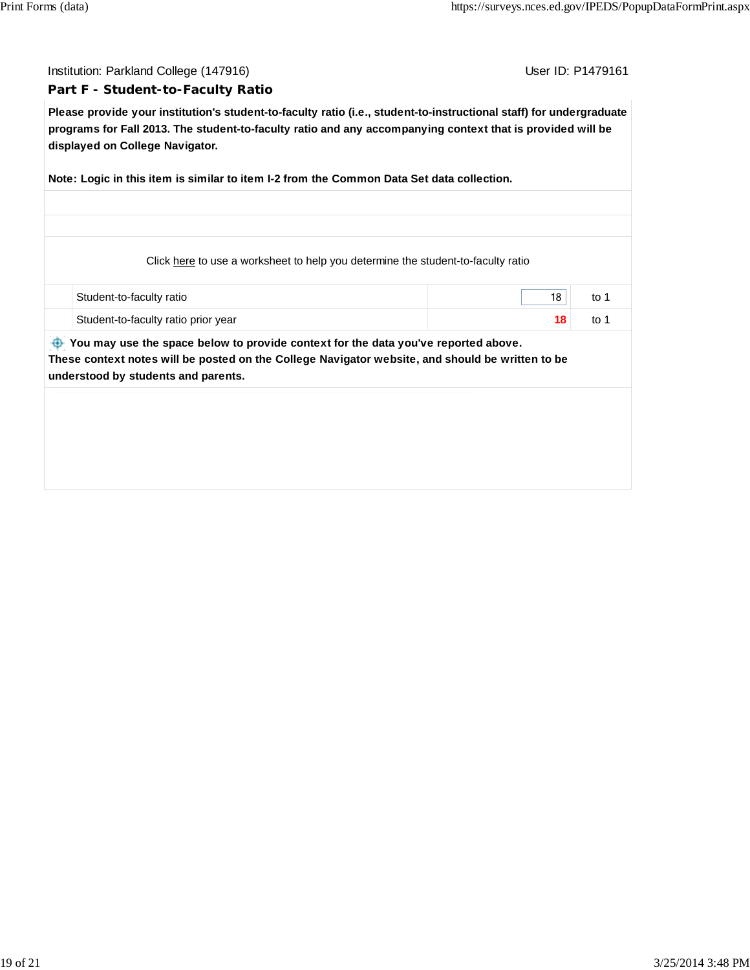Institution: Parkland College (147916) November 2012 12: Physics User ID: P1479161

#### **Part F - Student-to-Faculty Ratio**

**Please provide your institution's student-to-faculty ratio (i.e., student-to-instructional staff) for undergraduate programs for Fall 2013. The student-to-faculty ratio and any accompanying context that is provided will be displayed on College Navigator.**

**Note: Logic in this item is similar to item I-2 from the Common Data Set data collection.**

Click here to use a worksheet to help you determine the student-to-faculty ratio

| Student-to-faculty ratio              | 18 |  |
|---------------------------------------|----|--|
| ⊦ Student-to-faculty ratio prior year |    |  |

 **You may use the space below to provide context for the data you've reported above. These context notes will be posted on the College Navigator website, and should be written to be understood by students and parents.**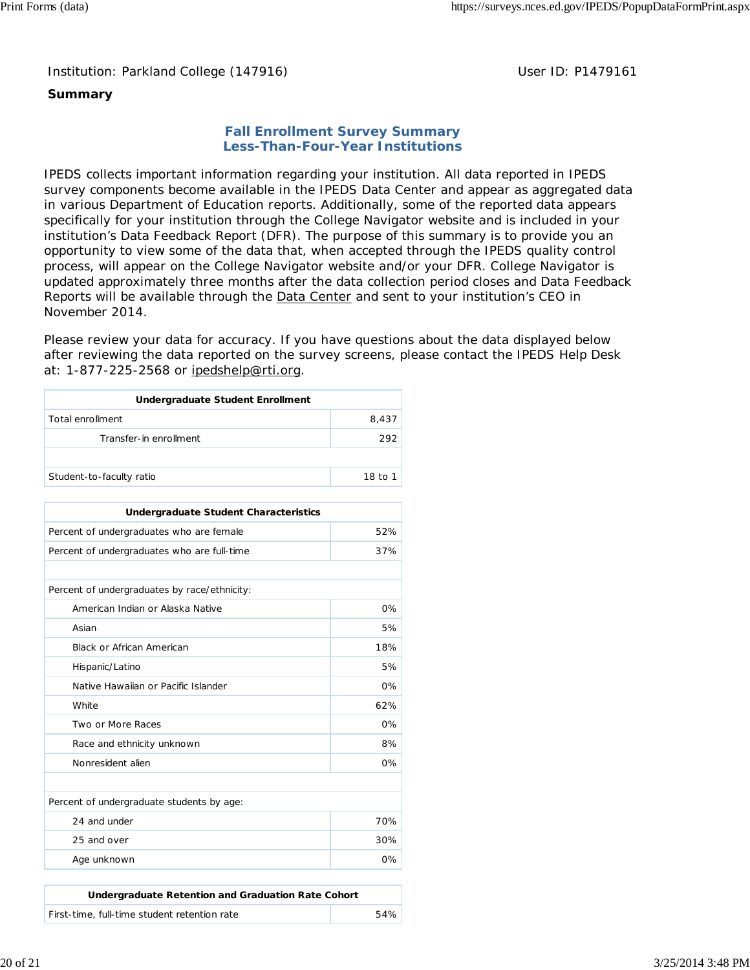Institution: Parkland College (147916) Noting the Muslim User ID: P1479161

## **Summary**

### **Fall Enrollment Survey Summary Less-Than-Four-Year Institutions**

IPEDS collects important information regarding your institution. All data reported in IPEDS survey components become available in the IPEDS Data Center and appear as aggregated data in various Department of Education reports. Additionally, some of the reported data appears specifically for your institution through the College Navigator website and is included in your institution's Data Feedback Report (DFR). The purpose of this summary is to provide you an opportunity to view some of the data that, when accepted through the IPEDS quality control process, will appear on the College Navigator website and/or your DFR. College Navigator is updated approximately three months after the data collection period closes and Data Feedback Reports will be available through the **Data Center and sent to your institution's CEO** in November 2014.

Please review your data for accuracy. If you have questions about the data displayed below after reviewing the data reported on the survey screens, please contact the IPEDS Help Desk at: 1-877-225-2568 or ipedshelp@rti.org.

| <b>Undergraduate Student Enrollment</b> |         |
|-----------------------------------------|---------|
| Total enrollment                        | 8.437   |
| Transfer-in enrollment                  | 292     |
|                                         |         |
| Student-to-faculty ratio                | 18 to 1 |

| <b>Undergraduate Student Characteristics</b>    |       |  |  |  |
|-------------------------------------------------|-------|--|--|--|
| 52%<br>Percent of undergraduates who are female |       |  |  |  |
| Percent of undergraduates who are full-time     | 37%   |  |  |  |
|                                                 |       |  |  |  |
| Percent of undergraduates by race/ethnicity:    |       |  |  |  |
| American Indian or Alaska Native                | $0\%$ |  |  |  |
| Asian                                           | 5%    |  |  |  |
| <b>Black or African American</b>                | 18%   |  |  |  |
| Hispanic/Latino                                 | 5%    |  |  |  |
| Native Hawaiian or Pacific Islander             | $0\%$ |  |  |  |
| White                                           | 62%   |  |  |  |
| Two or More Races                               | 0%    |  |  |  |
| Race and ethnicity unknown                      | 8%    |  |  |  |
| Nonresident alien                               | $0\%$ |  |  |  |
|                                                 |       |  |  |  |
| Percent of undergraduate students by age:       |       |  |  |  |
| 24 and under                                    | 70%   |  |  |  |
| 25 and over                                     | 30%   |  |  |  |
| Age unknown                                     | $0\%$ |  |  |  |

| Undergraduate Retention and Graduation Rate Cohort |     |
|----------------------------------------------------|-----|
| First-time, full-time student retention rate       | 54% |